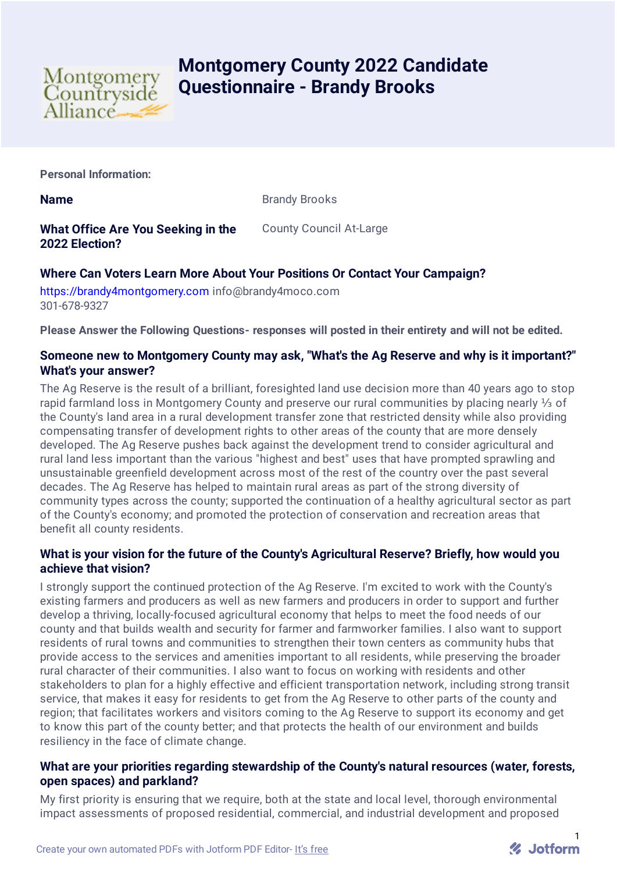

# **Montgomery County 2022 Candidate Questionnaire - Brandy Brooks**

**Personal Information:**

**Name** Brandy Brooks

**What Office Are You Seeking in the 2022 Election?**

County Council At-Large

## **Where Can Voters Learn More About Your Positions Or Contact Your Campaign?**

[https://brandy4montgomery.com](https://brandy4montgomery.com/) info@brandy4moco.com 301-678-9327

**Please Answer the Following Questions- responses will posted in their entirety and will not be edited.**

## **Someone new to Montgomery County may ask, "What's the Ag Reserve and why is it important?" What's your answer?**

The Ag Reserve is the result of a brilliant, foresighted land use decision more than 40 years ago to stop rapid farmland loss in Montgomery County and preserve our rural communities by placing nearly ⅓ of the County's land area in a rural development transfer zone that restricted density while also providing compensating transfer of development rights to other areas of the county that are more densely developed. The Ag Reserve pushes back against the development trend to consider agricultural and rural land less important than the various "highest and best" uses that have prompted sprawling and unsustainable greenfield development across most of the rest of the country over the past several decades. The Ag Reserve has helped to maintain rural areas as part of the strong diversity of community types across the county; supported the continuation of a healthy agricultural sector as part of the County's economy; and promoted the protection of conservation and recreation areas that benefit all county residents.

## **What is your vision for the future of the County's Agricultural Reserve? Briefly, how would you achieve that vision?**

I strongly support the continued protection of the Ag Reserve. I'm excited to work with the County's existing farmers and producers as well as new farmers and producers in order to support and further develop a thriving, locally-focused agricultural economy that helps to meet the food needs of our county and that builds wealth and security for farmer and farmworker families. I also want to support residents of rural towns and communities to strengthen their town centers as community hubs that provide access to the services and amenities important to all residents, while preserving the broader rural character of their communities. I also want to focus on working with residents and other stakeholders to plan for a highly effective and efficient transportation network, including strong transit service, that makes it easy for residents to get from the Ag Reserve to other parts of the county and region; that facilitates workers and visitors coming to the Ag Reserve to support its economy and get to know this part of the county better; and that protects the health of our environment and builds resiliency in the face of climate change.

## **What are your priorities regarding stewardship of the County's natural resources (water, forests, open spaces) and parkland?**

My first priority is ensuring that we require, both at the state and local level, thorough environmental impact assessments of proposed residential, commercial, and industrial development and proposed

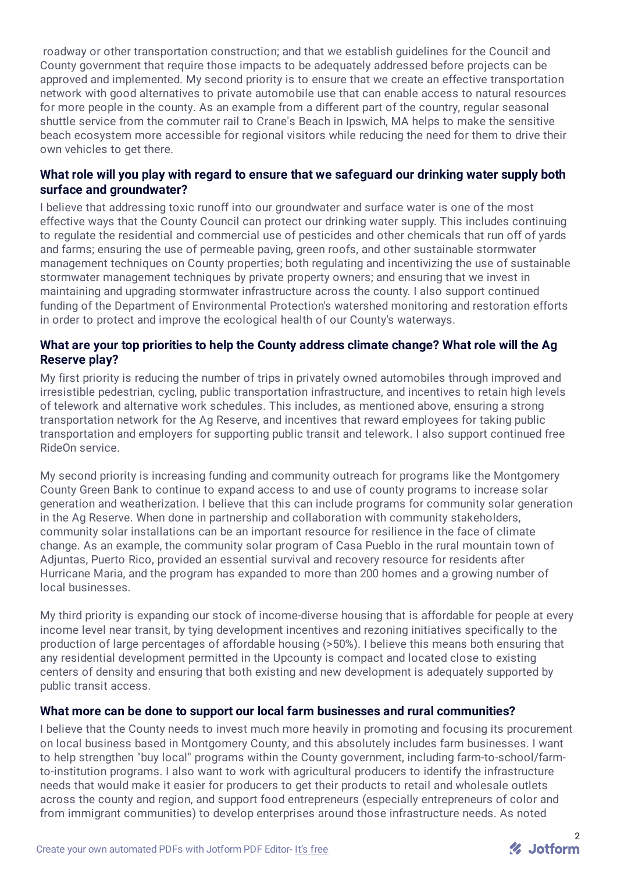roadway or other transportation construction; and that we establish guidelines for the Council and County government that require those impacts to be adequately addressed before projects can be approved and implemented. My second priority is to ensure that we create an effective transportation network with good alternatives to private automobile use that can enable access to natural resources for more people in the county. As an example from a different part of the country, regular seasonal shuttle service from the commuter rail to Crane's Beach in Ipswich, MA helps to make the sensitive beach ecosystem more accessible for regional visitors while reducing the need for them to drive their own vehicles to get there.

## **What role will you play with regard to ensure that we safeguard our drinking water supply both surface and groundwater?**

I believe that addressing toxic runoff into our groundwater and surface water is one of the most effective ways that the County Council can protect our drinking water supply. This includes continuing to regulate the residential and commercial use of pesticides and other chemicals that run off of yards and farms; ensuring the use of permeable paving, green roofs, and other sustainable stormwater management techniques on County properties; both regulating and incentivizing the use of sustainable stormwater management techniques by private property owners; and ensuring that we invest in maintaining and upgrading stormwater infrastructure across the county. I also support continued funding of the Department of Environmental Protection's watershed monitoring and restoration efforts in order to protect and improve the ecological health of our County's waterways.

## **What are your top priorities to help the County address climate change? What role will the Ag Reserve play?**

My first priority is reducing the number of trips in privately owned automobiles through improved and irresistible pedestrian, cycling, public transportation infrastructure, and incentives to retain high levels of telework and alternative work schedules. This includes, as mentioned above, ensuring a strong transportation network for the Ag Reserve, and incentives that reward employees for taking public transportation and employers for supporting public transit and telework. I also support continued free RideOn service.

My second priority is increasing funding and community outreach for programs like the Montgomery County Green Bank to continue to expand access to and use of county programs to increase solar generation and weatherization. I believe that this can include programs for community solar generation in the Ag Reserve. When done in partnership and collaboration with community stakeholders, community solar installations can be an important resource for resilience in the face of climate change. As an example, the community solar program of Casa Pueblo in the rural mountain town of Adjuntas, Puerto Rico, provided an essential survival and recovery resource for residents after Hurricane Maria, and the program has expanded to more than 200 homes and a growing number of local businesses.

My third priority is expanding our stock of income-diverse housing that is affordable for people at every income level near transit, by tying development incentives and rezoning initiatives specifically to the production of large percentages of affordable housing (>50%). I believe this means both ensuring that any residential development permitted in the Upcounty is compact and located close to existing centers of density and ensuring that both existing and new development is adequately supported by public transit access.

## **What more can be done to support our local farm businesses and rural communities?**

I believe that the County needs to invest much more heavily in promoting and focusing its procurement on local business based in Montgomery County, and this absolutely includes farm businesses. I want to help strengthen "buy local" programs within the County government, including farm-to-school/farmto-institution programs. I also want to work with agricultural producers to identify the infrastructure needs that would make it easier for producers to get their products to retail and wholesale outlets across the county and region, and support food entrepreneurs (especially entrepreneurs of color and from immigrant communities) to develop enterprises around those infrastructure needs. As noted

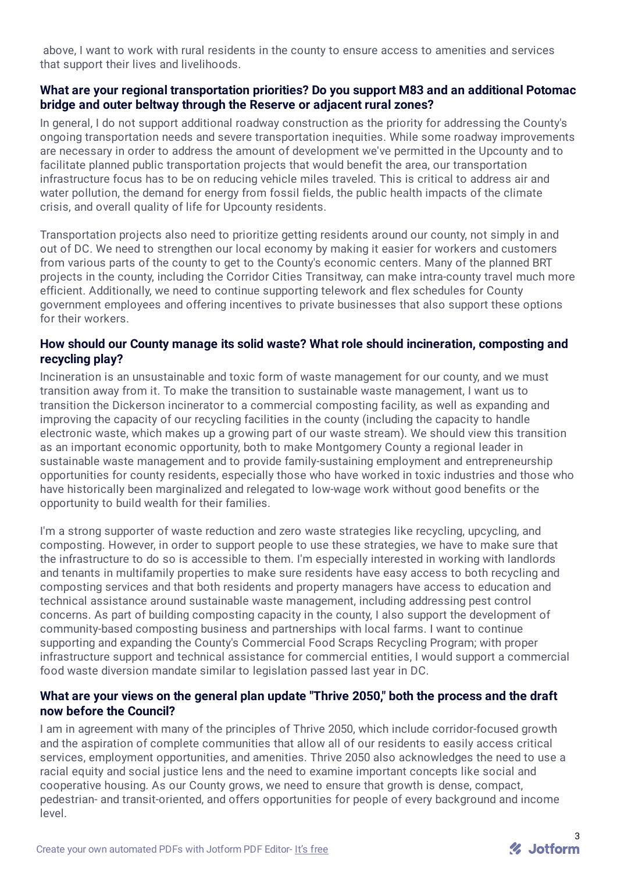above, I want to work with rural residents in the county to ensure access to amenities and services that support their lives and livelihoods.

#### **What are your regional transportation priorities? Do you support M83 and an additional Potomac bridge and outer beltway through the Reserve or adjacent rural zones?**

In general, I do not support additional roadway construction as the priority for addressing the County's ongoing transportation needs and severe transportation inequities. While some roadway improvements are necessary in order to address the amount of development we've permitted in the Upcounty and to facilitate planned public transportation projects that would benefit the area, our transportation infrastructure focus has to be on reducing vehicle miles traveled. This is critical to address air and water pollution, the demand for energy from fossil fields, the public health impacts of the climate crisis, and overall quality of life for Upcounty residents.

Transportation projects also need to prioritize getting residents around our county, not simply in and out of DC. We need to strengthen our local economy by making it easier for workers and customers from various parts of the county to get to the County's economic centers. Many of the planned BRT projects in the county, including the Corridor Cities Transitway, can make intra-county travel much more efficient. Additionally, we need to continue supporting telework and flex schedules for County government employees and offering incentives to private businesses that also support these options for their workers.

#### **How should our County manage its solid waste? What role should incineration, composting and recycling play?**

Incineration is an unsustainable and toxic form of waste management for our county, and we must transition away from it. To make the transition to sustainable waste management, I want us to transition the Dickerson incinerator to a commercial composting facility, as well as expanding and improving the capacity of our recycling facilities in the county (including the capacity to handle electronic waste, which makes up a growing part of our waste stream). We should view this transition as an important economic opportunity, both to make Montgomery County a regional leader in sustainable waste management and to provide family-sustaining employment and entrepreneurship opportunities for county residents, especially those who have worked in toxic industries and those who have historically been marginalized and relegated to low-wage work without good benefits or the opportunity to build wealth for their families.

I'm a strong supporter of waste reduction and zero waste strategies like recycling, upcycling, and composting. However, in order to support people to use these strategies, we have to make sure that the infrastructure to do so is accessible to them. I'm especially interested in working with landlords and tenants in multifamily properties to make sure residents have easy access to both recycling and composting services and that both residents and property managers have access to education and technical assistance around sustainable waste management, including addressing pest control concerns. As part of building composting capacity in the county, I also support the development of community-based composting business and partnerships with local farms. I want to continue supporting and expanding the County's Commercial Food Scraps Recycling Program; with proper infrastructure support and technical assistance for commercial entities, I would support a commercial food waste diversion mandate similar to legislation passed last year in DC.

#### **What are your views on the general plan update "Thrive 2050," both the process and the draft now before the Council?**

I am in agreement with many of the principles of Thrive 2050, which include corridor-focused growth and the aspiration of complete communities that allow all of our residents to easily access critical services, employment opportunities, and amenities. Thrive 2050 also acknowledges the need to use a racial equity and social justice lens and the need to examine important concepts like social and cooperative housing. As our County grows, we need to ensure that growth is dense, compact, pedestrian- and transit-oriented, and offers opportunities for people of every background and income level.

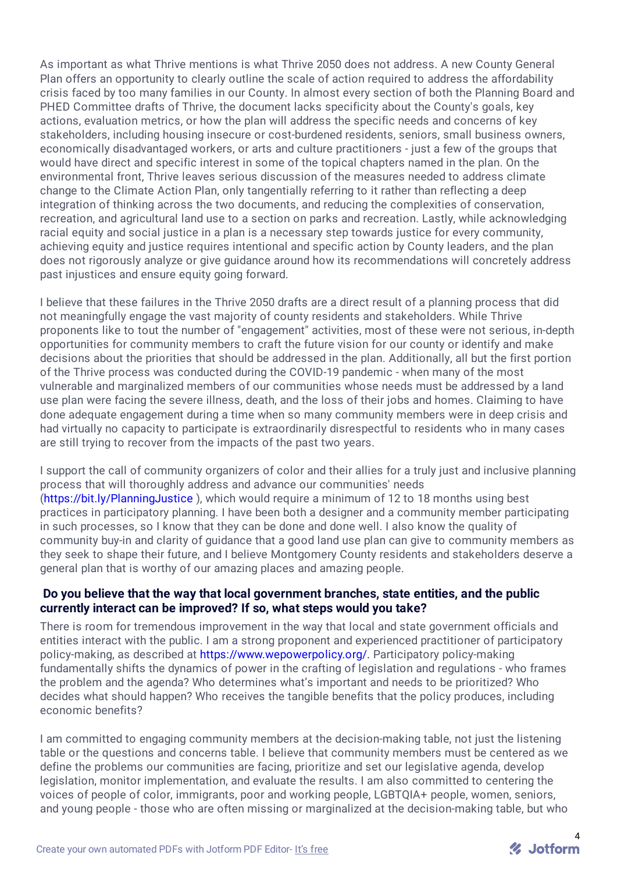As important as what Thrive mentions is what Thrive 2050 does not address. A new County General Plan offers an opportunity to clearly outline the scale of action required to address the affordability crisis faced by too many families in our County. In almost every section of both the Planning Board and PHED Committee drafts of Thrive, the document lacks specificity about the County's goals, key actions, evaluation metrics, or how the plan will address the specific needs and concerns of key stakeholders, including housing insecure or cost-burdened residents, seniors, small business owners, economically disadvantaged workers, or arts and culture practitioners - just a few of the groups that would have direct and specific interest in some of the topical chapters named in the plan. On the environmental front, Thrive leaves serious discussion of the measures needed to address climate change to the Climate Action Plan, only tangentially referring to it rather than reflecting a deep integration of thinking across the two documents, and reducing the complexities of conservation, recreation, and agricultural land use to a section on parks and recreation. Lastly, while acknowledging racial equity and social justice in a plan is a necessary step towards justice for every community, achieving equity and justice requires intentional and specific action by County leaders, and the plan does not rigorously analyze or give guidance around how its recommendations will concretely address past injustices and ensure equity going forward.

I believe that these failures in the Thrive 2050 drafts are a direct result of a planning process that did not meaningfully engage the vast majority of county residents and stakeholders. While Thrive proponents like to tout the number of "engagement" activities, most of these were not serious, in-depth opportunities for community members to craft the future vision for our county or identify and make decisions about the priorities that should be addressed in the plan. Additionally, all but the first portion of the Thrive process was conducted during the COVID-19 pandemic - when many of the most vulnerable and marginalized members of our communities whose needs must be addressed by a land use plan were facing the severe illness, death, and the loss of their jobs and homes. Claiming to have done adequate engagement during a time when so many community members were in deep crisis and had virtually no capacity to participate is extraordinarily disrespectful to residents who in many cases are still trying to recover from the impacts of the past two years.

I support the call of community organizers of color and their allies for a truly just and inclusive planning process that will thoroughly address and advance our communities' needs [\(https://bit.ly/PlanningJustice](https://bit.ly/PlanningJustice) ), which would require a minimum of 12 to 18 months using best practices in participatory planning. I have been both a designer and a community member participating in such processes, so I know that they can be done and done well. I also know the quality of community buy-in and clarity of guidance that a good land use plan can give to community members as they seek to shape their future, and I believe Montgomery County residents and stakeholders deserve a general plan that is worthy of our amazing places and amazing people.

#### **Do you believe that the way that local government branches, state entities, and the public currently interact can be improved? If so, what steps would you take?**

There is room for tremendous improvement in the way that local and state government officials and entities interact with the public. I am a strong proponent and experienced practitioner of participatory policy-making, as described at [https://www.wepowerpolicy.org/.](https://www.wepowerpolicy.org/) Participatory policy-making fundamentally shifts the dynamics of power in the crafting of legislation and regulations - who frames the problem and the agenda? Who determines what's important and needs to be prioritized? Who decides what should happen? Who receives the tangible benefits that the policy produces, including economic benefits?

I am committed to engaging community members at the decision-making table, not just the listening table or the questions and concerns table. I believe that community members must be centered as we define the problems our communities are facing, prioritize and set our legislative agenda, develop legislation, monitor implementation, and evaluate the results. I am also committed to centering the voices of people of color, immigrants, poor and working people, LGBTQIA+ people, women, seniors, and young people - those who are often missing or marginalized at the decision-making table, but who